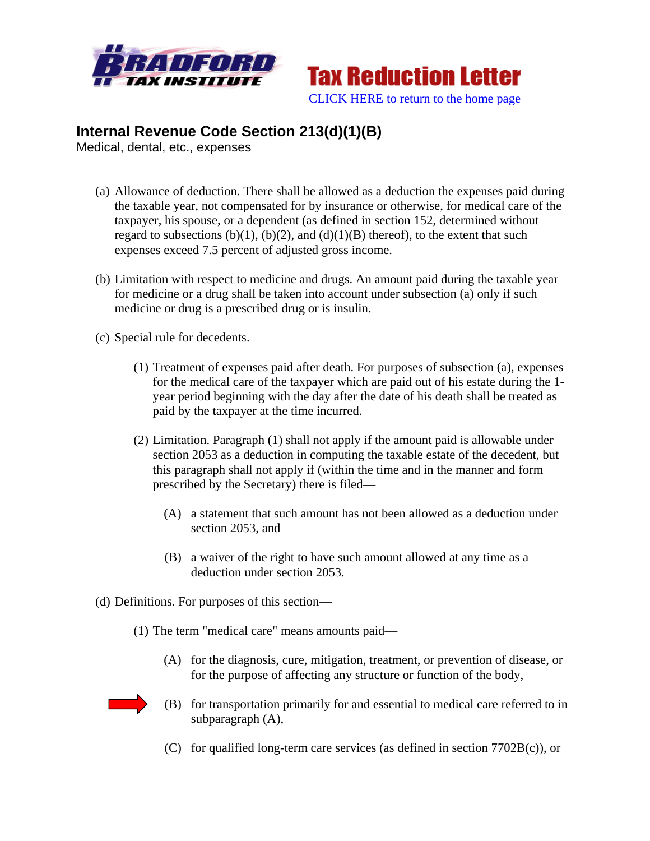



## **Internal Revenue Code Section 213(d)(1)(B)**

Medical, dental, etc., expenses

- (a) Allowance of deduction. There shall be allowed as a deduction the expenses paid during the taxable year, not compensated for by insurance or otherwise, for medical care of the taxpayer, his spouse, or a dependent (as defined in section 152, determined without regard to subsections  $(b)(1)$ ,  $(b)(2)$ , and  $(d)(1)(B)$  thereof), to the extent that such expenses exceed 7.5 percent of adjusted gross income.
- (b) Limitation with respect to medicine and drugs. An amount paid during the taxable year for medicine or a drug shall be taken into account under subsection (a) only if such medicine or drug is a prescribed drug or is insulin.
- (c) Special rule for decedents.
	- (1) Treatment of expenses paid after death. For purposes of subsection (a), expenses for the medical care of the taxpayer which are paid out of his estate during the 1 year period beginning with the day after the date of his death shall be treated as paid by the taxpayer at the time incurred.
	- (2) Limitation. Paragraph (1) shall not apply if the amount paid is allowable under section 2053 as a deduction in computing the taxable estate of the decedent, but this paragraph shall not apply if (within the time and in the manner and form prescribed by the Secretary) there is filed—
		- (A) a statement that such amount has not been allowed as a deduction under section 2053, and
		- (B) a waiver of the right to have such amount allowed at any time as a deduction under section 2053.
- (d) Definitions. For purposes of this section—
	- (1) The term "medical care" means amounts paid—
		- (A) for the diagnosis, cure, mitigation, treatment, or prevention of disease, or for the purpose of affecting any structure or function of the body,
		- (B) for transportation primarily for and essential to medical care referred to in subparagraph (A),
		- (C) for qualified long-term care services (as defined in section 7702B(c)), or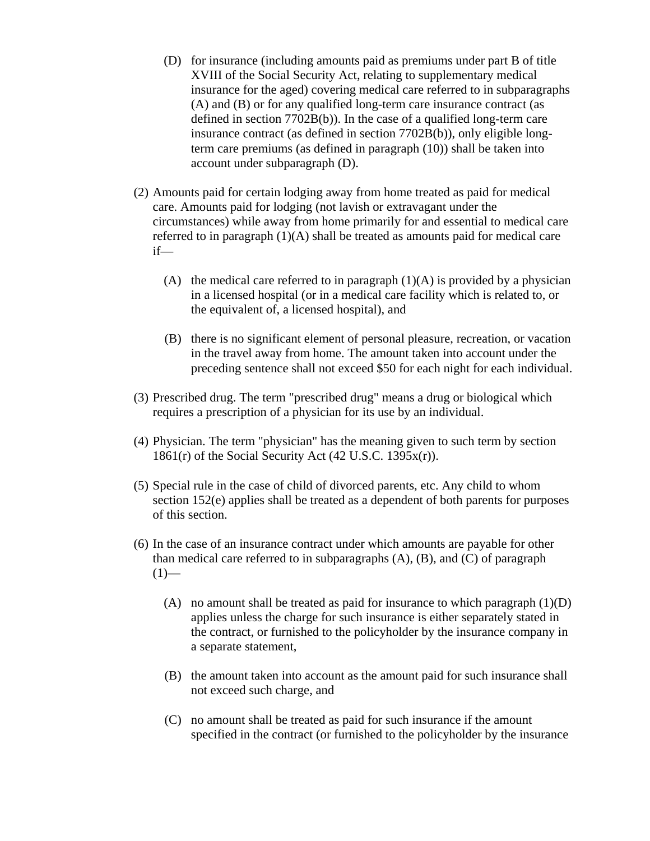- (D) for insurance (including amounts paid as premiums under part B of title XVIII of the Social Security Act, relating to supplementary medical insurance for the aged) covering medical care referred to in subparagraphs (A) and (B) or for any qualified long-term care insurance contract (as defined in section 7702B(b)). In the case of a qualified long-term care insurance contract (as defined in section 7702B(b)), only eligible longterm care premiums (as defined in paragraph (10)) shall be taken into account under subparagraph (D).
- (2) Amounts paid for certain lodging away from home treated as paid for medical care. Amounts paid for lodging (not lavish or extravagant under the circumstances) while away from home primarily for and essential to medical care referred to in paragraph (1)(A) shall be treated as amounts paid for medical care if—
	- (A) the medical care referred to in paragraph  $(1)(A)$  is provided by a physician in a licensed hospital (or in a medical care facility which is related to, or the equivalent of, a licensed hospital), and
	- (B) there is no significant element of personal pleasure, recreation, or vacation in the travel away from home. The amount taken into account under the preceding sentence shall not exceed \$50 for each night for each individual.
- (3) Prescribed drug. The term "prescribed drug" means a drug or biological which requires a prescription of a physician for its use by an individual.
- (4) Physician. The term "physician" has the meaning given to such term by section  $1861(r)$  of the Social Security Act (42 U.S.C. 1395 $x(r)$ ).
- (5) Special rule in the case of child of divorced parents, etc. Any child to whom section 152(e) applies shall be treated as a dependent of both parents for purposes of this section.
- (6) In the case of an insurance contract under which amounts are payable for other than medical care referred to in subparagraphs  $(A)$ ,  $(B)$ , and  $(C)$  of paragraph  $(1)$ —
	- (A) no amount shall be treated as paid for insurance to which paragraph  $(1)(D)$ applies unless the charge for such insurance is either separately stated in the contract, or furnished to the policyholder by the insurance company in a separate statement,
	- (B) the amount taken into account as the amount paid for such insurance shall not exceed such charge, and
	- (C) no amount shall be treated as paid for such insurance if the amount specified in the contract (or furnished to the policyholder by the insurance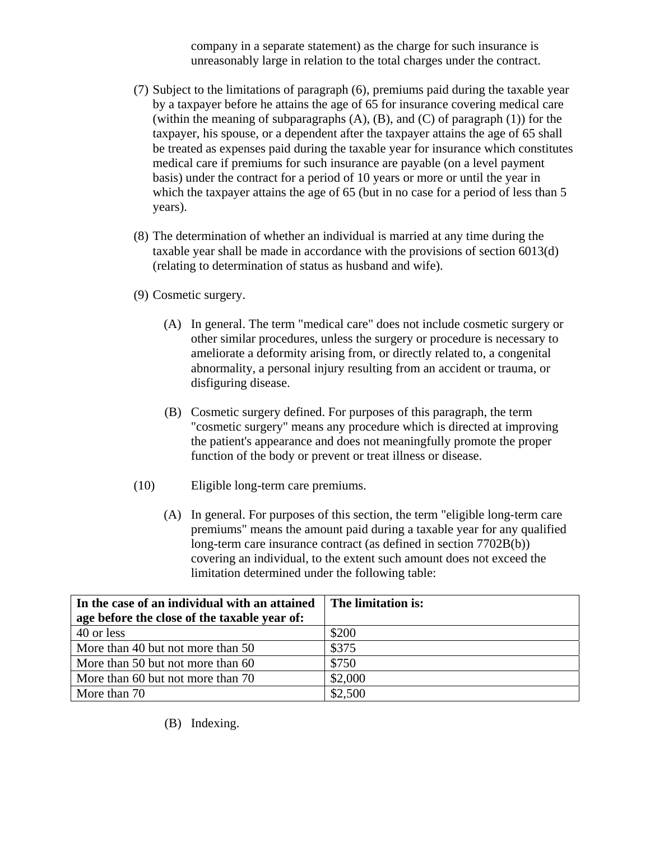company in a separate statement) as the charge for such insurance is unreasonably large in relation to the total charges under the contract.

- (7) Subject to the limitations of paragraph (6), premiums paid during the taxable year by a taxpayer before he attains the age of 65 for insurance covering medical care (within the meaning of subparagraphs  $(A)$ ,  $(B)$ , and  $(C)$  of paragraph  $(1)$ ) for the taxpayer, his spouse, or a dependent after the taxpayer attains the age of 65 shall be treated as expenses paid during the taxable year for insurance which constitutes medical care if premiums for such insurance are payable (on a level payment basis) under the contract for a period of 10 years or more or until the year in which the taxpayer attains the age of 65 (but in no case for a period of less than 5 years).
- (8) The determination of whether an individual is married at any time during the taxable year shall be made in accordance with the provisions of section 6013(d) (relating to determination of status as husband and wife).
- (9) Cosmetic surgery.
	- (A) In general. The term "medical care" does not include cosmetic surgery or other similar procedures, unless the surgery or procedure is necessary to ameliorate a deformity arising from, or directly related to, a congenital abnormality, a personal injury resulting from an accident or trauma, or disfiguring disease.
	- (B) Cosmetic surgery defined. For purposes of this paragraph, the term "cosmetic surgery" means any procedure which is directed at improving the patient's appearance and does not meaningfully promote the proper function of the body or prevent or treat illness or disease.
- (10) Eligible long-term care premiums.
	- (A) In general. For purposes of this section, the term "eligible long-term care premiums" means the amount paid during a taxable year for any qualified long-term care insurance contract (as defined in section 7702B(b)) covering an individual, to the extent such amount does not exceed the limitation determined under the following table:

| In the case of an individual with an attained | The limitation is: |
|-----------------------------------------------|--------------------|
| age before the close of the taxable year of:  |                    |
| 40 or less                                    | \$200              |
| More than 40 but not more than 50             | \$375              |
| More than 50 but not more than 60             | \$750              |
| More than 60 but not more than 70             | \$2,000            |
| More than 70                                  | \$2,500            |

(B) Indexing.